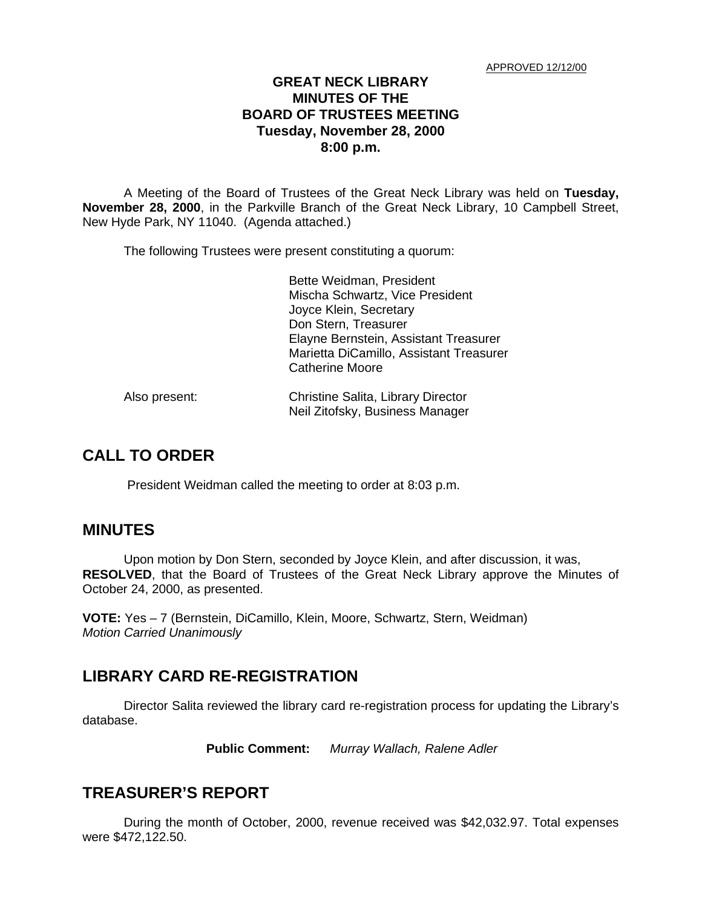### **GREAT NECK LIBRARY MINUTES OF THE BOARD OF TRUSTEES MEETING Tuesday, November 28, 2000 8:00 p.m.**

A Meeting of the Board of Trustees of the Great Neck Library was held on **Tuesday, November 28, 2000**, in the Parkville Branch of the Great Neck Library, 10 Campbell Street, New Hyde Park, NY 11040. (Agenda attached.)

The following Trustees were present constituting a quorum:

Bette Weidman, President Mischa Schwartz, Vice President Joyce Klein, Secretary Don Stern, Treasurer Elayne Bernstein, Assistant Treasurer Marietta DiCamillo, Assistant Treasurer Catherine Moore

| Also present: | Christine Salita, Library Director |
|---------------|------------------------------------|
|               | Neil Zitofsky, Business Manager    |

# **CALL TO ORDER**

President Weidman called the meeting to order at 8:03 p.m.

### **MINUTES**

Upon motion by Don Stern, seconded by Joyce Klein, and after discussion, it was, **RESOLVED**, that the Board of Trustees of the Great Neck Library approve the Minutes of October 24, 2000, as presented.

**VOTE:** Yes – 7 (Bernstein, DiCamillo, Klein, Moore, Schwartz, Stern, Weidman) *Motion Carried Unanimously*

## **LIBRARY CARD RE-REGISTRATION**

Director Salita reviewed the library card re-registration process for updating the Library's database.

**Public Comment:** *Murray Wallach, Ralene Adler*

### **TREASURER'S REPORT**

During the month of October, 2000, revenue received was \$42,032.97. Total expenses were \$472,122.50.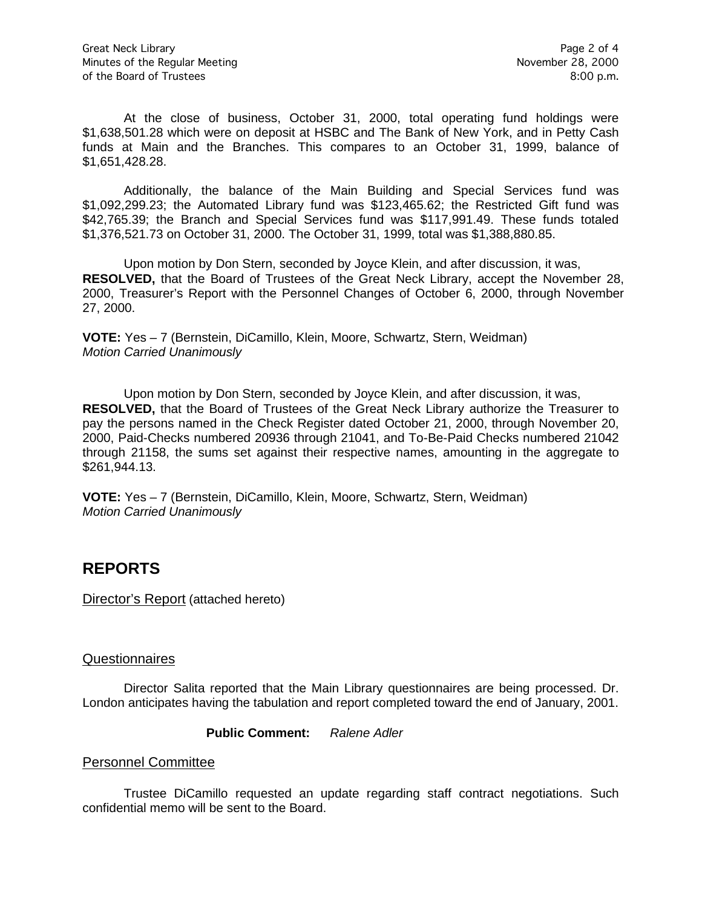At the close of business, October 31, 2000, total operating fund holdings were \$1,638,501.28 which were on deposit at HSBC and The Bank of New York, and in Petty Cash funds at Main and the Branches. This compares to an October 31, 1999, balance of \$1,651,428.28.

Additionally, the balance of the Main Building and Special Services fund was \$1,092,299.23; the Automated Library fund was \$123,465.62; the Restricted Gift fund was \$42,765.39; the Branch and Special Services fund was \$117,991.49. These funds totaled \$1,376,521.73 on October 31, 2000. The October 31, 1999, total was \$1,388,880.85.

Upon motion by Don Stern, seconded by Joyce Klein, and after discussion, it was, **RESOLVED,** that the Board of Trustees of the Great Neck Library, accept the November 28, 2000, Treasurer's Report with the Personnel Changes of October 6, 2000, through November 27, 2000.

**VOTE:** Yes – 7 (Bernstein, DiCamillo, Klein, Moore, Schwartz, Stern, Weidman) *Motion Carried Unanimously*

Upon motion by Don Stern, seconded by Joyce Klein, and after discussion, it was, **RESOLVED,** that the Board of Trustees of the Great Neck Library authorize the Treasurer to pay the persons named in the Check Register dated October 21, 2000, through November 20, 2000, Paid-Checks numbered 20936 through 21041, and To-Be-Paid Checks numbered 21042 through 21158, the sums set against their respective names, amounting in the aggregate to \$261,944.13.

**VOTE:** Yes – 7 (Bernstein, DiCamillo, Klein, Moore, Schwartz, Stern, Weidman) *Motion Carried Unanimously*

## **REPORTS**

Director's Report (attached hereto)

#### Questionnaires

Director Salita reported that the Main Library questionnaires are being processed. Dr. London anticipates having the tabulation and report completed toward the end of January, 2001.

**Public Comment:** *Ralene Adler*

#### Personnel Committee

Trustee DiCamillo requested an update regarding staff contract negotiations. Such confidential memo will be sent to the Board.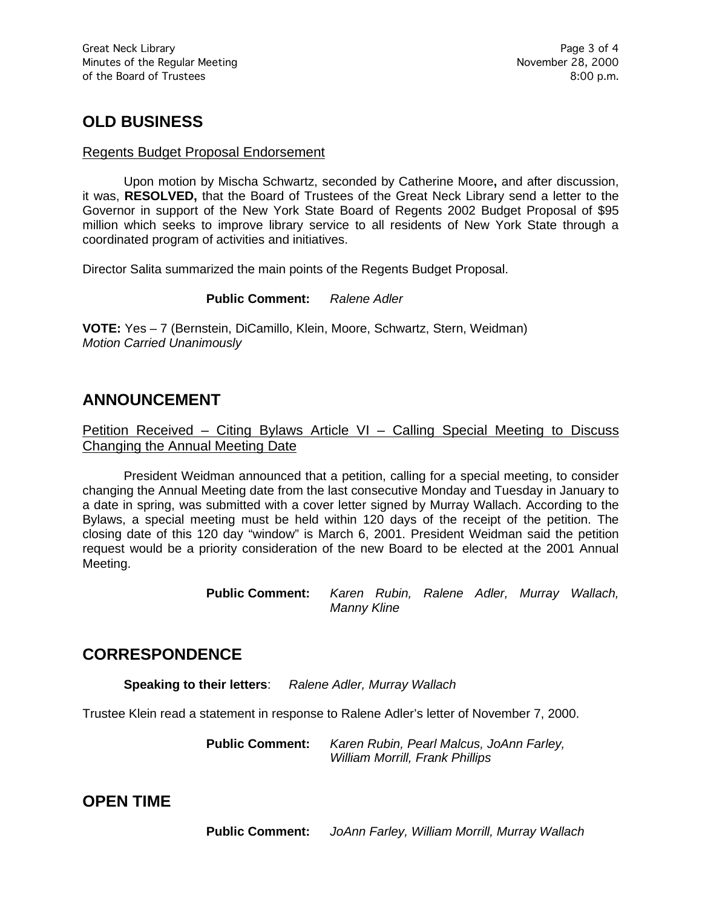# **OLD BUSINESS**

#### Regents Budget Proposal Endorsement

Upon motion by Mischa Schwartz, seconded by Catherine Moore**,** and after discussion, it was, **RESOLVED,** that the Board of Trustees of the Great Neck Library send a letter to the Governor in support of the New York State Board of Regents 2002 Budget Proposal of \$95 million which seeks to improve library service to all residents of New York State through a coordinated program of activities and initiatives.

Director Salita summarized the main points of the Regents Budget Proposal.

**Public Comment:** *Ralene Adler*

**VOTE:** Yes – 7 (Bernstein, DiCamillo, Klein, Moore, Schwartz, Stern, Weidman) *Motion Carried Unanimously*

## **ANNOUNCEMENT**

Petition Received – Citing Bylaws Article VI – Calling Special Meeting to Discuss Changing the Annual Meeting Date

President Weidman announced that a petition, calling for a special meeting, to consider changing the Annual Meeting date from the last consecutive Monday and Tuesday in January to a date in spring, was submitted with a cover letter signed by Murray Wallach. According to the Bylaws, a special meeting must be held within 120 days of the receipt of the petition. The closing date of this 120 day "window" is March 6, 2001. President Weidman said the petition request would be a priority consideration of the new Board to be elected at the 2001 Annual Meeting.

> **Public Comment:** *Karen Rubin, Ralene Adler, Murray Wallach, Manny Kline*

## **CORRESPONDENCE**

**Speaking to their letters**: *Ralene Adler, Murray Wallach*

Trustee Klein read a statement in response to Ralene Adler's letter of November 7, 2000.

**Public Comment:** *Karen Rubin, Pearl Malcus, JoAnn Farley, William Morrill, Frank Phillips*

## **OPEN TIME**

**Public Comment:** *JoAnn Farley, William Morrill, Murray Wallach*